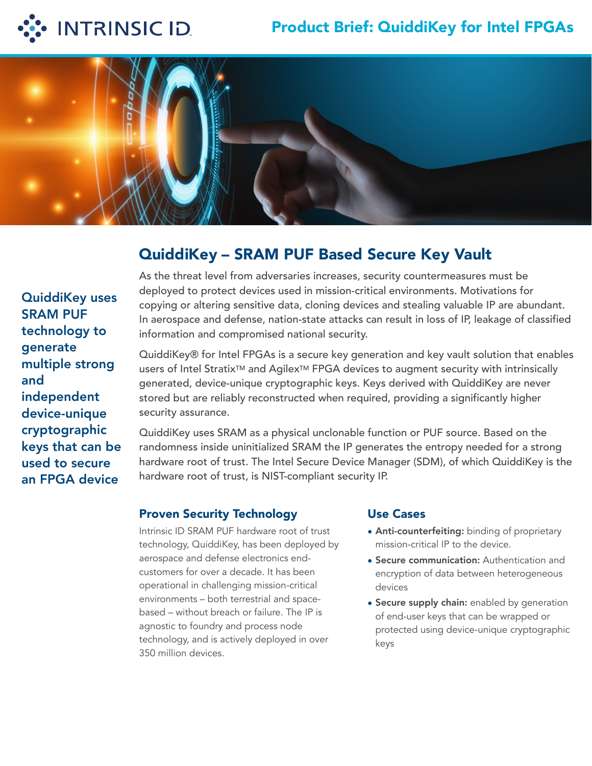

# Product Brief: QuiddiKey for Intel FPGAs



# QuiddiKey – SRAM PUF Based Secure Key Vault

QuiddiKey uses SRAM PUF technology to generate multiple strong and independent device-unique cryptographic keys that can be used to secure an FPGA device

As the threat level from adversaries increases, security countermeasures must be deployed to protect devices used in mission-critical environments. Motivations for copying or altering sensitive data, cloning devices and stealing valuable IP are abundant. In aerospace and defense, nation-state attacks can result in loss of IP, leakage of classified information and compromised national security.

QuiddiKey® for Intel FPGAs is a secure key generation and key vault solution that enables users of Intel Stratix™ and Agilex™ FPGA devices to augment security with intrinsically generated, device-unique cryptographic keys. Keys derived with QuiddiKey are never stored but are reliably reconstructed when required, providing a significantly higher security assurance.

QuiddiKey uses SRAM as a physical unclonable function or PUF source. Based on the randomness inside uninitialized SRAM the IP generates the entropy needed for a strong hardware root of trust. The Intel Secure Device Manager (SDM), of which QuiddiKey is the hardware root of trust, is NIST-compliant security IP.

### Proven Security Technology

Intrinsic ID SRAM PUF hardware root of trust technology, QuiddiKey, has been deployed by aerospace and defense electronics endcustomers for over a decade. It has been operational in challenging mission-critical environments – both terrestrial and spacebased – without breach or failure. The IP is agnostic to foundry and process node technology, and is actively deployed in over 350 million devices.

#### Use Cases

- Anti-counterfeiting: binding of proprietary mission-critical IP to the device.
- Secure communication: Authentication and encryption of data between heterogeneous devices
- Secure supply chain: enabled by generation of end-user keys that can be wrapped or protected using device-unique cryptographic keys